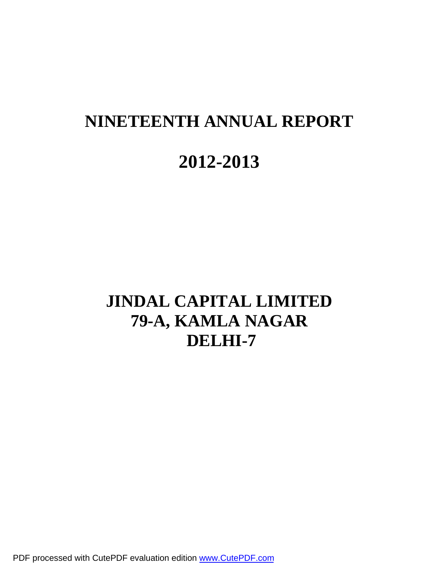# **NINETEENTH ANNUAL REPORT 2012-2013**

## **JINDAL CAPITAL LIMITED 79-A, KAMLA NAGAR DELHI-7**

PDF processed with CutePDF evaluation edition [www.CutePDF.com](http://www.cutepdf.com)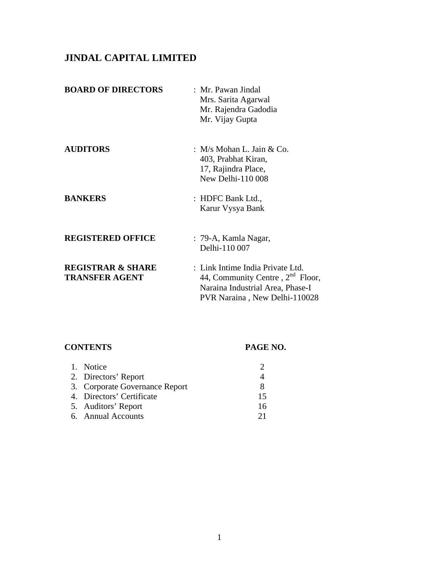## **JINDAL CAPITAL LIMITED**

| <b>BOARD OF DIRECTORS</b>                             | : Mr. Pawan Jindal<br>Mrs. Sarita Agarwal<br>Mr. Rajendra Gadodia<br>Mr. Vijay Gupta                                                        |
|-------------------------------------------------------|---------------------------------------------------------------------------------------------------------------------------------------------|
| <b>AUDITORS</b>                                       | : $M/s$ Mohan L. Jain & Co.<br>403, Prabhat Kiran,<br>17, Rajindra Place,<br>New Delhi-110 008                                              |
| <b>BANKERS</b>                                        | : HDFC Bank Ltd.,<br>Karur Vysya Bank                                                                                                       |
| <b>REGISTERED OFFICE</b>                              | : 79-A, Kamla Nagar,<br>Delhi-110 007                                                                                                       |
| <b>REGISTRAR &amp; SHARE</b><br><b>TRANSFER AGENT</b> | : Link Intime India Private Ltd.<br>44, Community Centre, $2nd$ Floor,<br>Naraina Industrial Area, Phase-I<br>PVR Naraina, New Delhi-110028 |

## **CONTENTS PAGE NO.**

| 1. Notice                      |    |
|--------------------------------|----|
| 2. Directors' Report           |    |
| 3. Corporate Governance Report |    |
| 4. Directors' Certificate      | 15 |
| 5. Auditors' Report            | 16 |
| 6. Annual Accounts             | 21 |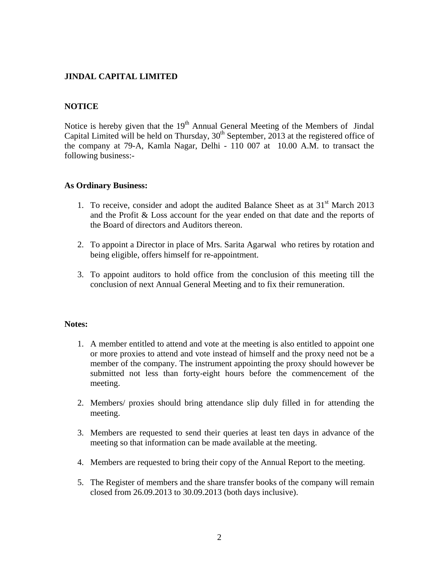## **JINDAL CAPITAL LIMITED**

## **NOTICE**

Notice is hereby given that the  $19<sup>th</sup>$  Annual General Meeting of the Members of Jindal Capital Limited will be held on Thursday, 30<sup>th</sup> September, 2013 at the registered office of the company at 79-A, Kamla Nagar, Delhi - 110 007 at 10.00 A.M. to transact the following business:-

## **As Ordinary Business:**

- 1. To receive, consider and adopt the audited Balance Sheet as at  $31<sup>st</sup>$  March 2013 and the Profit & Loss account for the year ended on that date and the reports of the Board of directors and Auditors thereon.
- 2. To appoint a Director in place of Mrs. Sarita Agarwal who retires by rotation and being eligible, offers himself for re-appointment.
- 3. To appoint auditors to hold office from the conclusion of this meeting till the conclusion of next Annual General Meeting and to fix their remuneration.

#### **Notes:**

- 1. A member entitled to attend and vote at the meeting is also entitled to appoint one or more proxies to attend and vote instead of himself and the proxy need not be a member of the company. The instrument appointing the proxy should however be submitted not less than forty-eight hours before the commencement of the meeting.
- 2. Members/ proxies should bring attendance slip duly filled in for attending the meeting.
- 3. Members are requested to send their queries at least ten days in advance of the meeting so that information can be made available at the meeting.
- 4. Members are requested to bring their copy of the Annual Report to the meeting.
- 5. The Register of members and the share transfer books of the company will remain closed from 26.09.2013 to 30.09.2013 (both days inclusive).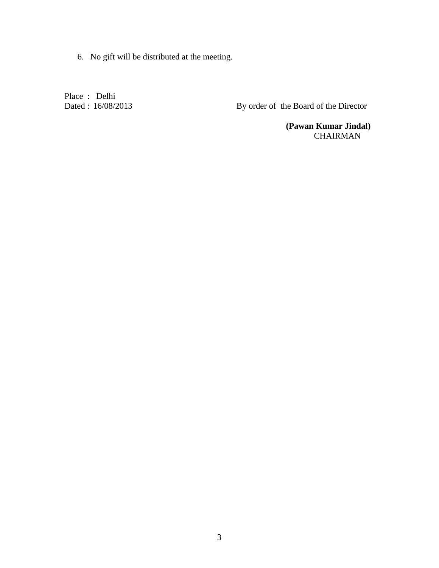6. No gift will be distributed at the meeting.

Place : Delhi<br>Dated : 16/08/2013

By order of the Board of the Director

 **(Pawan Kumar Jindal)**  CHAIRMAN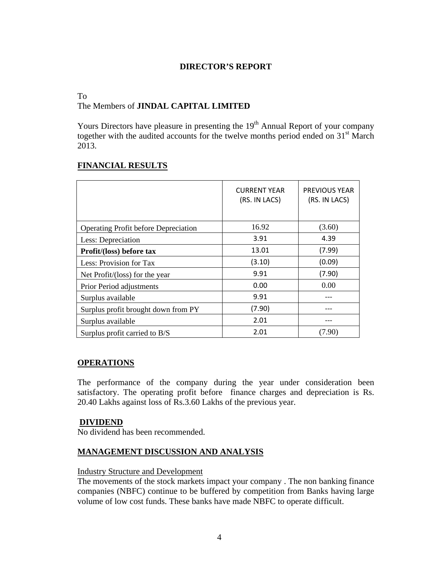## **DIRECTOR'S REPORT**

## To

## The Members of **JINDAL CAPITAL LIMITED**

Yours Directors have pleasure in presenting the  $19<sup>th</sup>$  Annual Report of your company together with the audited accounts for the twelve months period ended on  $31<sup>st</sup>$  March 2013.

## **FINANCIAL RESULTS**

|                                             | <b>CURRENT YEAR</b><br>(RS. IN LACS) | <b>PREVIOUS YEAR</b><br>(RS. IN LACS) |
|---------------------------------------------|--------------------------------------|---------------------------------------|
| <b>Operating Profit before Depreciation</b> | 16.92                                | (3.60)                                |
| Less: Depreciation                          | 3.91                                 | 4.39                                  |
| Profit/(loss) before tax                    | 13.01                                | (7.99)                                |
| Less: Provision for Tax                     | (3.10)                               | (0.09)                                |
| Net Profit/(loss) for the year              | 9.91                                 | (7.90)                                |
| Prior Period adjustments                    | 0.00                                 | 0.00                                  |
| Surplus available                           | 9.91                                 |                                       |
| Surplus profit brought down from PY         | (7.90)                               |                                       |
| Surplus available                           | 2.01                                 |                                       |
| Surplus profit carried to B/S               | 2.01                                 | (7.90)                                |

## **OPERATIONS**

The performance of the company during the year under consideration been satisfactory. The operating profit before finance charges and depreciation is Rs. 20.40 Lakhs against loss of Rs.3.60 Lakhs of the previous year.

## **DIVIDEND**

No dividend has been recommended.

## **MANAGEMENT DISCUSSION AND ANALYSIS**

## Industry Structure and Development

The movements of the stock markets impact your company . The non banking finance companies (NBFC) continue to be buffered by competition from Banks having large volume of low cost funds. These banks have made NBFC to operate difficult.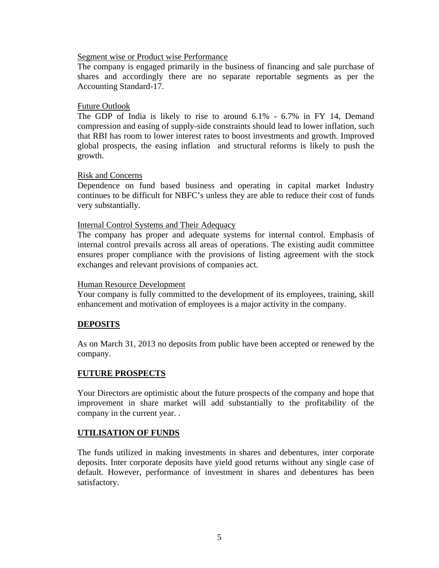#### Segment wise or Product wise Performance

The company is engaged primarily in the business of financing and sale purchase of shares and accordingly there are no separate reportable segments as per the Accounting Standard-17.

#### Future Outlook

The GDP of India is likely to rise to around 6.1% - 6.7% in FY 14, Demand compression and easing of supply-side constraints should lead to lower inflation, such that RBI has room to lower interest rates to boost investments and growth. Improved global prospects, the easing inflation and structural reforms is likely to push the growth.

#### Risk and Concerns

Dependence on fund based business and operating in capital market Industry continues to be difficult for NBFC's unless they are able to reduce their cost of funds very substantially.

#### Internal Control Systems and Their Adequacy

The company has proper and adequate systems for internal control. Emphasis of internal control prevails across all areas of operations. The existing audit committee ensures proper compliance with the provisions of listing agreement with the stock exchanges and relevant provisions of companies act.

#### Human Resource Development

Your company is fully committed to the development of its employees, training, skill enhancement and motivation of employees is a major activity in the company.

## **DEPOSITS**

As on March 31, 2013 no deposits from public have been accepted or renewed by the company.

## **FUTURE PROSPECTS**

Your Directors are optimistic about the future prospects of the company and hope that improvement in share market will add substantially to the profitability of the company in the current year. .

## **UTILISATION OF FUNDS**

The funds utilized in making investments in shares and debentures, inter corporate deposits. Inter corporate deposits have yield good returns without any single case of default. However, performance of investment in shares and debentures has been satisfactory.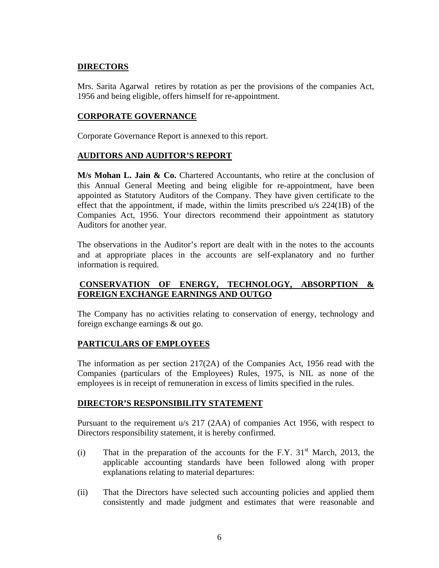## **DIRECTORS**

Mrs. Sarita Agarwal retires by rotation as per the provisions of the companies Act, 1956 and being eligible, offers himself for re-appointment.

## **CORPORATE GOVERNANCE**

Corporate Governance Report is annexed to this report.

## **AUDITORS AND AUDITOR'S REPORT**

**M/s Mohan L. Jain & Co.** Chartered Accountants, who retire at the conclusion of this Annual General Meeting and being eligible for re-appointment, have been appointed as Statutory Auditors of the Company. They have given certificate to the effect that the appointment, if made, within the limits prescribed u/s 224(1B) of the Companies Act, 1956. Your directors recommend their appointment as statutory Auditors for another year.

The observations in the Auditor's report are dealt with in the notes to the accounts and at appropriate places in the accounts are self-explanatory and no further information is required.

## **CONSERVATION OF ENERGY, TECHNOLOGY, ABSORPTION & FOREIGN EXCHANGE EARNINGS AND OUTGO**

The Company has no activities relating to conservation of energy, technology and foreign exchange earnings & out go.

## **PARTICULARS OF EMPLOYEES**

The information as per section  $217(2)$  of the Companies Act, 1956 read with the Companies (particulars of the Employees) Rules, 1975, is NIL as none of the employees is in receipt of remuneration in excess of limits specified in the rules.

## **DIRECTOR'S RESPONSIBILITY STATEMENT**

Pursuant to the requirement u/s 217 (2AA) of companies Act 1956, with respect to Directors responsibility statement, it is hereby confirmed.

- (i) That in the preparation of the accounts for the F.Y.  $31<sup>st</sup>$  March, 2013, the applicable accounting standards have been followed along with proper explanations relating to material departures:
- (ii) That the Directors have selected such accounting policies and applied them consistently and made judgment and estimates that were reasonable and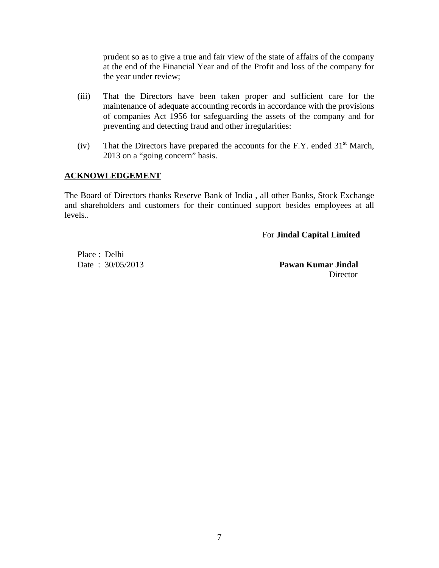prudent so as to give a true and fair view of the state of affairs of the company at the end of the Financial Year and of the Profit and loss of the company for the year under review;

- (iii) That the Directors have been taken proper and sufficient care for the maintenance of adequate accounting records in accordance with the provisions of companies Act 1956 for safeguarding the assets of the company and for preventing and detecting fraud and other irregularities:
- (iv) That the Directors have prepared the accounts for the F.Y. ended  $31<sup>st</sup>$  March, 2013 on a "going concern" basis.

## **ACKNOWLEDGEMENT**

The Board of Directors thanks Reserve Bank of India , all other Banks, Stock Exchange and shareholders and customers for their continued support besides employees at all levels..

For **Jindal Capital Limited** 

Place : Delhi

Date : 30/05/2013 **Pawan Kumar Jindal**  Director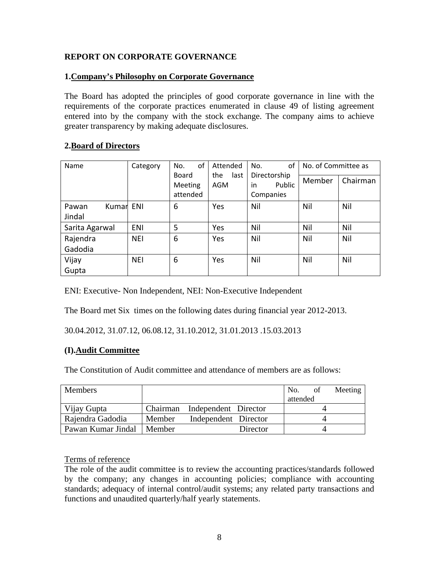## **REPORT ON CORPORATE GOVERNANCE**

## **1.Company's Philosophy on Corporate Governance**

The Board has adopted the principles of good corporate governance in line with the requirements of the corporate practices enumerated in clause 49 of listing agreement entered into by the company with the stock exchange. The company aims to achieve greater transparency by making adequate disclosures.

## **2.Board of Directors**

| Name                     | Category   | of<br>No.                    | Attended           | of<br>No.                                 | No. of Committee as |          |
|--------------------------|------------|------------------------------|--------------------|-------------------------------------------|---------------------|----------|
|                          |            | Board<br>Meeting<br>attended | the<br>last<br>AGM | Directorship<br>in<br>Public<br>Companies | Member              | Chairman |
| Pawan<br>Kumar<br>Jindal | ENI        | 6                            | Yes                | Nil                                       | Nil                 | Nil      |
| Sarita Agarwal           | ENI        | 5                            | Yes                | Nil                                       | Nil                 | Nil      |
| Rajendra<br>Gadodia      | <b>NEI</b> | 6                            | Yes                | Nil                                       | Nil                 | Nil      |
| Vijay<br>Gupta           | <b>NEI</b> | 6                            | Yes                | Nil                                       | Nil                 | Nil      |

ENI: Executive- Non Independent, NEI: Non-Executive Independent

The Board met Six times on the following dates during financial year 2012-2013.

30.04.2012, 31.07.12, 06.08.12, 31.10.2012, 31.01.2013 .15.03.2013

## **(I).Audit Committee**

The Constitution of Audit committee and attendance of members are as follows:

| Members            |          |                      |          | No.      | <sub>of</sub> | Meeting |
|--------------------|----------|----------------------|----------|----------|---------------|---------|
|                    |          |                      |          | attended |               |         |
| Vijay Gupta        | Chairman | Independent Director |          |          |               |         |
| Rajendra Gadodia   | Member   | Independent Director |          |          |               |         |
| Pawan Kumar Jindal | ∣Member  |                      | Director |          |               |         |

## Terms of reference

The role of the audit committee is to review the accounting practices/standards followed by the company; any changes in accounting policies; compliance with accounting standards; adequacy of internal control/audit systems; any related party transactions and functions and unaudited quarterly/half yearly statements.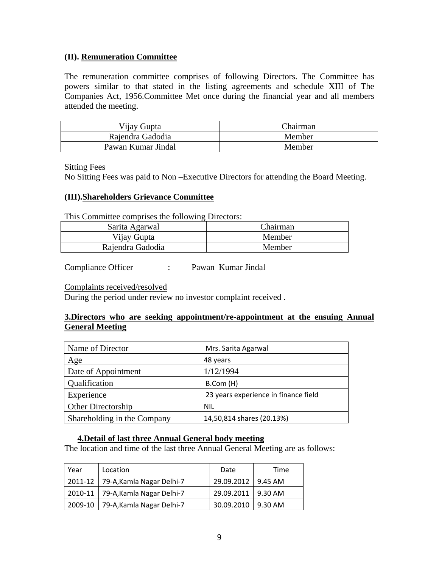## **(II). Remuneration Committee**

The remuneration committee comprises of following Directors. The Committee has powers similar to that stated in the listing agreements and schedule XIII of The Companies Act, 1956.Committee Met once during the financial year and all members attended the meeting.

| Vijay Gupta        | Chairman |
|--------------------|----------|
| Rajendra Gadodia   | Member   |
| Pawan Kumar Jindal | Member   |

Sitting Fees

No Sitting Fees was paid to Non –Executive Directors for attending the Board Meeting.

## **(III).Shareholders Grievance Committee**

This Committee comprises the following Directors:

| Sarita Agarwal   | Chairman |
|------------------|----------|
| Vijay Gupta      | Member   |
| Rajendra Gadodia | Member   |

Compliance Officer : Pawan Kumar Jindal

#### Complaints received/resolved

During the period under review no investor complaint received .

## **3.Directors who are seeking appointment/re-appointment at the ensuing Annual General Meeting**

| Name of Director            | Mrs. Sarita Agarwal                  |
|-----------------------------|--------------------------------------|
| Age                         | 48 years                             |
| Date of Appointment         | 1/12/1994                            |
| Qualification               | B.Com (H)                            |
| Experience                  | 23 years experience in finance field |
| <b>Other Directorship</b>   | <b>NIL</b>                           |
| Shareholding in the Company | 14,50,814 shares (20.13%)            |

## **4.Detail of last three Annual General body meeting**

The location and time of the last three Annual General Meeting are as follows:

| Year | Location                            | Date                 | Time           |
|------|-------------------------------------|----------------------|----------------|
|      | 2011-12   79-A, Kamla Nagar Delhi-7 | 29.09.2012   9.45 AM |                |
|      | 2010-11   79-A, Kamla Nagar Delhi-7 | 29.09.2011   9.30 AM |                |
|      | 2009-10   79-A, Kamla Nagar Delhi-7 | 30.09.2010           | $\mid$ 9.30 AM |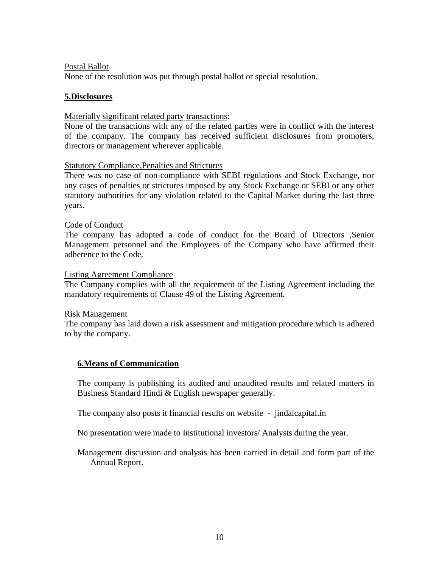## Postal Ballot

None of the resolution was put through postal ballot or special resolution.

## **5.Disclosures**

## Materially significant related party transactions:

None of the transactions with any of the related parties were in conflict with the interest of the company. The company has received sufficient disclosures from promoters, directors or management wherever applicable.

## Statutory Compliance,Penalties and Strictures

There was no case of non-compliance with SEBI regulations and Stock Exchange, nor any cases of penalties or strictures imposed by any Stock Exchange or SEBI or any other statutory authorities for any violation related to the Capital Market during the last three years.

## Code of Conduct

The company has adopted a code of conduct for the Board of Directors ,Senior Management personnel and the Employees of the Company who have affirmed their adherence to the Code.

#### Listing Agreement Compliance

The Company complies with all the requirement of the Listing Agreement including the mandatory requirements of Clause 49 of the Listing Agreement.

#### Risk Management

The company has laid down a risk assessment and mitigation procedure which is adhered to by the company.

## **6.Means of Communication**

The company is publishing its audited and unaudited results and related matters in Business Standard Hindi & English newspaper generally.

The company also posts it financial results on website - jindalcapital.in

No presentation were made to Institutional investors/ Analysts during the year.

Management discussion and analysis has been carried in detail and form part of the Annual Report.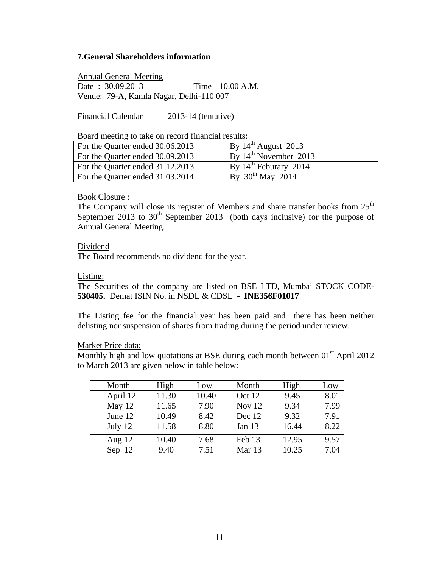## **7.General Shareholders information**

Annual General Meeting

Date : 30.09.2013 Time 10.00 A.M. Venue: 79-A, Kamla Nagar, Delhi-110 007

Financial Calendar 2013-14 (tentative)

Board meeting to take on record financial results:

| For the Quarter ended 30.06.2013 | $\overline{B}$ y 14 <sup>th</sup> August 2013 |
|----------------------------------|-----------------------------------------------|
| For the Quarter ended 30.09.2013 | By $14^{\text{th}}$ November 2013             |
| For the Quarter ended 31.12.2013 | $\mu$ By 14 <sup>th</sup> Feburary 2014       |
| For the Quarter ended 31.03.2014 | By $30^{th}$ May 2014                         |

Book Closure :

The Company will close its register of Members and share transfer books from  $25<sup>th</sup>$ September 2013 to  $30<sup>th</sup>$  September 2013 (both days inclusive) for the purpose of Annual General Meeting.

#### Dividend

The Board recommends no dividend for the year.

#### Listing:

The Securities of the company are listed on BSE LTD, Mumbai STOCK CODE-**530405.** Demat ISIN No. in NSDL & CDSL - **INE356F01017** 

The Listing fee for the financial year has been paid and there has been neither delisting nor suspension of shares from trading during the period under review.

Market Price data:

Monthly high and low quotations at BSE during each month between  $01<sup>st</sup>$  April 2012 to March 2013 are given below in table below:

| Month    | High  | Low   | Month  | High  | Low  |
|----------|-------|-------|--------|-------|------|
| April 12 | 11.30 | 10.40 | Oct 12 | 9.45  | 8.01 |
| May 12   | 11.65 | 7.90  | Nov 12 | 9.34  | 7.99 |
| June 12  | 10.49 | 8.42  | Dec 12 | 9.32  | 7.91 |
| July 12  | 11.58 | 8.80  | Jan 13 | 16.44 | 8.22 |
| Aug $12$ | 10.40 | 7.68  | Feb 13 | 12.95 | 9.57 |
| Sep $12$ | 9.40  | 7.51  | Mar 13 | 10.25 | 7.04 |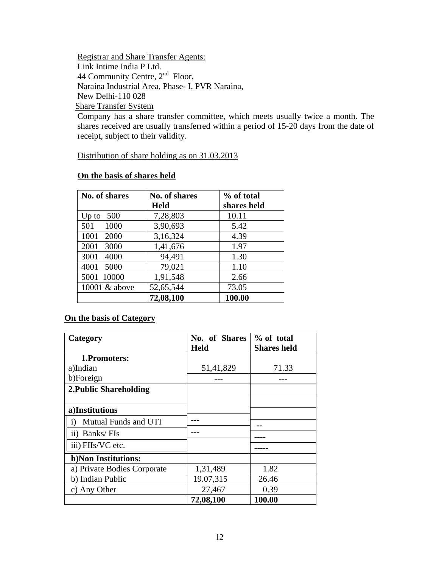Registrar and Share Transfer Agents: Link Intime India P Ltd. 44 Community Centre, 2<sup>nd</sup> Floor, Naraina Industrial Area, Phase- I, PVR Naraina, New Delhi-110 028 Share Transfer System

Company has a share transfer committee, which meets usually twice a month. The shares received are usually transferred within a period of 15-20 days from the date of receipt, subject to their validity.

Distribution of share holding as on 31.03.2013

| No. of shares | <b>No. of shares</b> | % of total  |
|---------------|----------------------|-------------|
|               | <b>Held</b>          | shares held |
| 500<br>Up to  | 7,28,803             | 10.11       |
| 1000<br>501   | 3,90,693             | 5.42        |
| 1001<br>2000  | 3,16,324             | 4.39        |
| 2001<br>3000  | 1,41,676             | 1.97        |
| 3001<br>4000  | 94,491               | 1.30        |
| 4001<br>5000  | 79,021               | 1.10        |
| 10000<br>5001 | 1,91,548             | 2.66        |
| 10001 & above | 52,65,544            | 73.05       |
|               | 72,08,100            | 100.00      |

## **On the basis of shares held**

## **On the basis of Category**

| Category                             | No. of Shares | % of total         |
|--------------------------------------|---------------|--------------------|
|                                      | <b>Held</b>   | <b>Shares held</b> |
| 1. Promoters:                        |               |                    |
| a)Indian                             | 51,41,829     | 71.33              |
| b)Foreign                            |               |                    |
| <b>2. Public Shareholding</b>        |               |                    |
|                                      |               |                    |
| a)Institutions                       |               |                    |
| $\mathbf{i}$<br>Mutual Funds and UTI |               |                    |
| ii) Banks/FIs                        |               |                    |
| iii) FIIs/VC etc.                    |               |                    |
| b) Non Institutions:                 |               |                    |
| a) Private Bodies Corporate          | 1,31,489      | 1.82               |
| b) Indian Public                     | 19.07,315     | 26.46              |
| c) Any Other                         | 27,467        | 0.39               |
|                                      | 72,08,100     | 100.00             |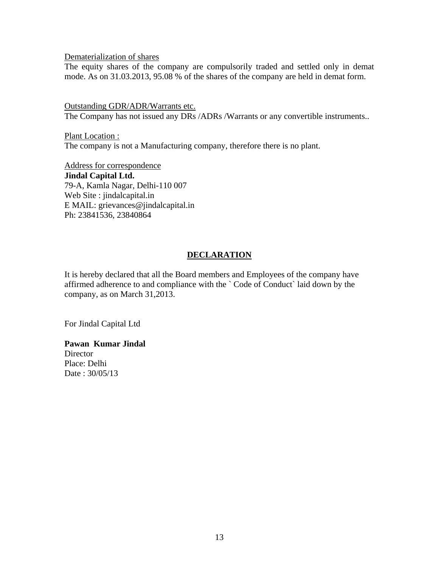#### Dematerialization of shares

The equity shares of the company are compulsorily traded and settled only in demat mode. As on 31.03.2013, 95.08 % of the shares of the company are held in demat form.

Outstanding GDR/ADR/Warrants etc. The Company has not issued any DRs /ADRs /Warrants or any convertible instruments..

Plant Location : The company is not a Manufacturing company, therefore there is no plant.

Address for correspondence **Jindal Capital Ltd.**  79-A, Kamla Nagar, Delhi-110 007 Web Site : jindalcapital.in E MAIL: grievances@jindalcapital.in Ph: 23841536, 23840864

## **DECLARATION**

It is hereby declared that all the Board members and Employees of the company have affirmed adherence to and compliance with the ` Code of Conduct` laid down by the company, as on March 31,2013.

For Jindal Capital Ltd

#### **Pawan Kumar Jindal Director**

Place: Delhi Date : 30/05/13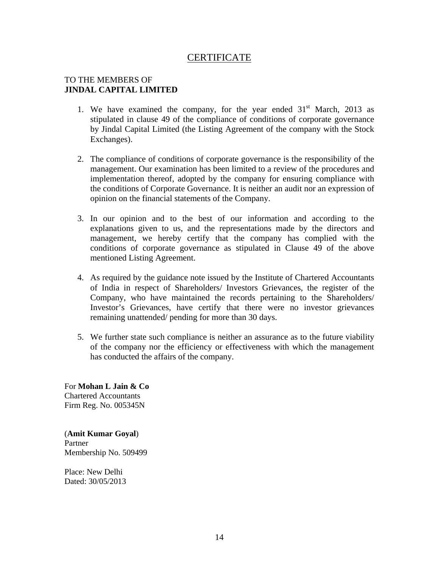## **CERTIFICATE**

## TO THE MEMBERS OF **JINDAL CAPITAL LIMITED**

- 1. We have examined the company, for the year ended  $31<sup>st</sup>$  March, 2013 as stipulated in clause 49 of the compliance of conditions of corporate governance by Jindal Capital Limited (the Listing Agreement of the company with the Stock Exchanges).
- 2. The compliance of conditions of corporate governance is the responsibility of the management. Our examination has been limited to a review of the procedures and implementation thereof, adopted by the company for ensuring compliance with the conditions of Corporate Governance. It is neither an audit nor an expression of opinion on the financial statements of the Company.
- 3. In our opinion and to the best of our information and according to the explanations given to us, and the representations made by the directors and management, we hereby certify that the company has complied with the conditions of corporate governance as stipulated in Clause 49 of the above mentioned Listing Agreement.
- 4. As required by the guidance note issued by the Institute of Chartered Accountants of India in respect of Shareholders/ Investors Grievances, the register of the Company, who have maintained the records pertaining to the Shareholders/ Investor's Grievances, have certify that there were no investor grievances remaining unattended/ pending for more than 30 days.
- 5. We further state such compliance is neither an assurance as to the future viability of the company nor the efficiency or effectiveness with which the management has conducted the affairs of the company.

For **Mohan L Jain & Co** Chartered Accountants Firm Reg. No. 005345N

(**Amit Kumar Goyal**) Partner Membership No. 509499

Place: New Delhi Dated: 30/05/2013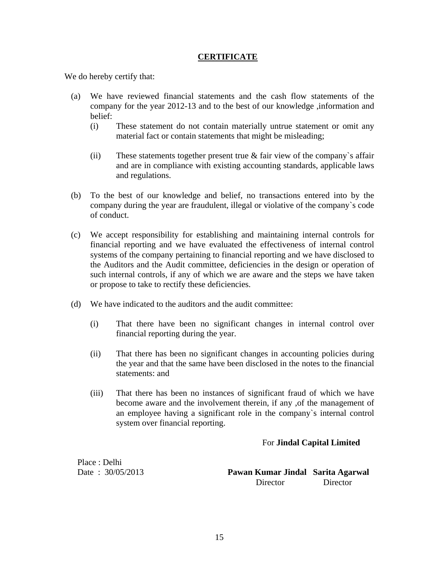## **CERTIFICATE**

We do hereby certify that:

- (a) We have reviewed financial statements and the cash flow statements of the company for the year 2012-13 and to the best of our knowledge ,information and belief:
	- (i) These statement do not contain materially untrue statement or omit any material fact or contain statements that might be misleading;
	- (ii) These statements together present true  $&$  fair view of the company's affair and are in compliance with existing accounting standards, applicable laws and regulations.
- (b) To the best of our knowledge and belief, no transactions entered into by the company during the year are fraudulent, illegal or violative of the company`s code of conduct.
- (c) We accept responsibility for establishing and maintaining internal controls for financial reporting and we have evaluated the effectiveness of internal control systems of the company pertaining to financial reporting and we have disclosed to the Auditors and the Audit committee, deficiencies in the design or operation of such internal controls, if any of which we are aware and the steps we have taken or propose to take to rectify these deficiencies.
- (d) We have indicated to the auditors and the audit committee:
	- (i) That there have been no significant changes in internal control over financial reporting during the year.
	- (ii) That there has been no significant changes in accounting policies during the year and that the same have been disclosed in the notes to the financial statements: and
	- (iii) That there has been no instances of significant fraud of which we have become aware and the involvement therein, if any ,of the management of an employee having a significant role in the company`s internal control system over financial reporting.

## For **Jindal Capital Limited**

Place : Delhi

Date : 30/05/2013 **Pawan Kumar Jindal Sarita Agarwal** Director Director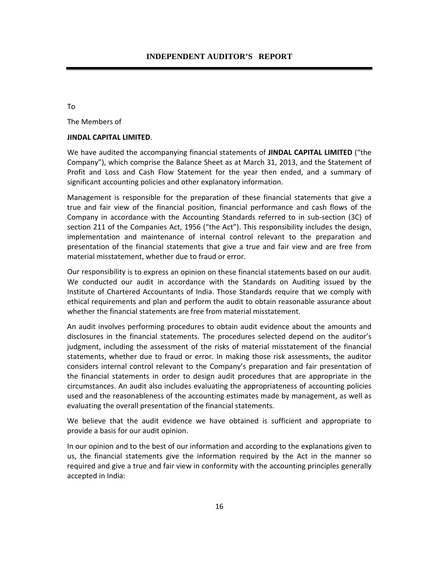To

The Members of

#### **JINDAL CAPITAL LIMITED**.

We have audited the accompanying financial statements of **JINDAL CAPITAL LIMITED** ("the Company"), which comprise the Balance Sheet as at March 31, 2013, and the Statement of Profit and Loss and Cash Flow Statement for the year then ended, and a summary of significant accounting policies and other explanatory information.

Management is responsible for the preparation of these financial statements that give a true and fair view of the financial position, financial performance and cash flows of the Company in accordance with the Accounting Standards referred to in sub‐section (3C) of section 211 of the Companies Act, 1956 ("the Act"). This responsibility includes the design, implementation and maintenance of internal control relevant to the preparation and presentation of the financial statements that give a true and fair view and are free from material misstatement, whether due to fraud or error.

Our responsibility is to express an opinion on these financial statements based on our audit. We conducted our audit in accordance with the Standards on Auditing issued by the Institute of Chartered Accountants of India. Those Standards require that we comply with ethical requirements and plan and perform the audit to obtain reasonable assurance about whether the financial statements are free from material misstatement.

An audit involves performing procedures to obtain audit evidence about the amounts and disclosures in the financial statements. The procedures selected depend on the auditor's judgment, including the assessment of the risks of material misstatement of the financial statements, whether due to fraud or error. In making those risk assessments, the auditor considers internal control relevant to the Company's preparation and fair presentation of the financial statements in order to design audit procedures that are appropriate in the circumstances. An audit also includes evaluating the appropriateness of accounting policies used and the reasonableness of the accounting estimates made by management, as well as evaluating the overall presentation of the financial statements.

We believe that the audit evidence we have obtained is sufficient and appropriate to provide a basis for our audit opinion.

In our opinion and to the best of our information and according to the explanations given to us, the financial statements give the information required by the Act in the manner so required and give a true and fair view in conformity with the accounting principles generally accepted in India: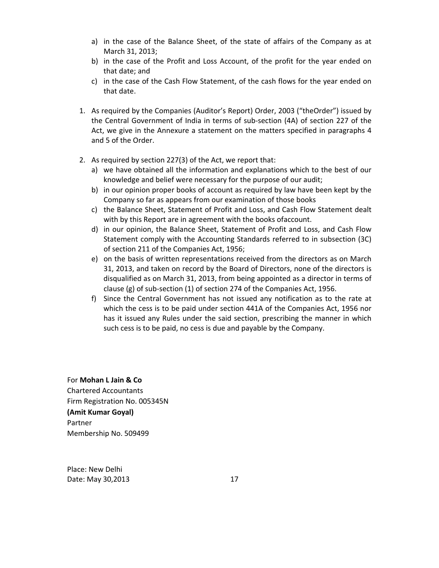- a) in the case of the Balance Sheet, of the state of affairs of the Company as at March 31, 2013;
- b) in the case of the Profit and Loss Account, of the profit for the year ended on that date; and
- c) in the case of the Cash Flow Statement, of the cash flows for the year ended on that date.
- 1. As required by the Companies (Auditor's Report) Order, 2003 ("theOrder") issued by the Central Government of India in terms of sub‐section (4A) of section 227 of the Act, we give in the Annexure a statement on the matters specified in paragraphs 4 and 5 of the Order.
- 2. As required by section 227(3) of the Act, we report that:
	- a) we have obtained all the information and explanations which to the best of our knowledge and belief were necessary for the purpose of our audit;
	- b) in our opinion proper books of account as required by law have been kept by the Company so far as appears from our examination of those books
	- c) the Balance Sheet, Statement of Profit and Loss, and Cash Flow Statement dealt with by this Report are in agreement with the books ofaccount.
	- d) in our opinion, the Balance Sheet, Statement of Profit and Loss, and Cash Flow Statement comply with the Accounting Standards referred to in subsection (3C) of section 211 of the Companies Act, 1956;
	- e) on the basis of written representations received from the directors as on March 31, 2013, and taken on record by the Board of Directors, none of the directors is disqualified as on March 31, 2013, from being appointed as a director in terms of clause (g) of sub‐section (1) of section 274 of the Companies Act, 1956.
	- f) Since the Central Government has not issued any notification as to the rate at which the cess is to be paid under section 441A of the Companies Act, 1956 nor has it issued any Rules under the said section, prescribing the manner in which such cess is to be paid, no cess is due and payable by the Company.

#### For **Mohan L Jain & Co**

Chartered Accountants Firm Registration No. 005345N **(Amit Kumar Goyal)** Partner Membership No. 509499

Place: New Delhi Date: May 30,2013 17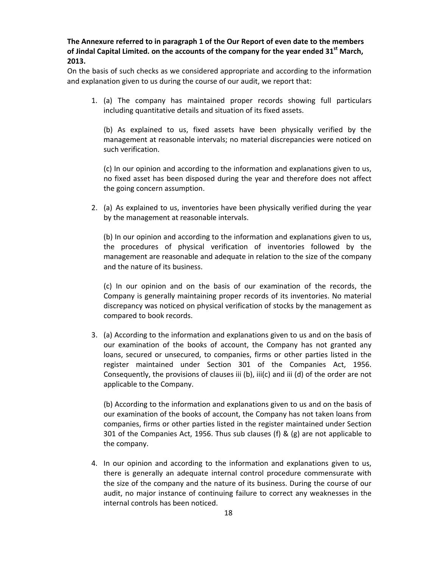**The Annexure referred to in paragraph 1 of the Our Report of even date to the members of Jindal Capital Limited. on the accounts of the company for the year ended 31st March, 2013.**

On the basis of such checks as we considered appropriate and according to the information and explanation given to us during the course of our audit, we report that:

1. (a) The company has maintained proper records showing full particulars including quantitative details and situation of its fixed assets.

(b) As explained to us, fixed assets have been physically verified by the management at reasonable intervals; no material discrepancies were noticed on such verification.

(c) In our opinion and according to the information and explanations given to us, no fixed asset has been disposed during the year and therefore does not affect the going concern assumption.

2. (a) As explained to us, inventories have been physically verified during the year by the management at reasonable intervals.

(b) In our opinion and according to the information and explanations given to us, the procedures of physical verification of inventories followed by the management are reasonable and adequate in relation to the size of the company and the nature of its business.

(c) In our opinion and on the basis of our examination of the records, the Company is generally maintaining proper records of its inventories. No material discrepancy was noticed on physical verification of stocks by the management as compared to book records.

3. (a) According to the information and explanations given to us and on the basis of our examination of the books of account, the Company has not granted any loans, secured or unsecured, to companies, firms or other parties listed in the register maintained under Section 301 of the Companies Act, 1956. Consequently, the provisions of clauses iii (b), iii(c) and iii (d) of the order are not applicable to the Company.

(b) According to the information and explanations given to us and on the basis of our examination of the books of account, the Company has not taken loans from companies, firms or other parties listed in the register maintained under Section 301 of the Companies Act, 1956. Thus sub clauses (f) & (g) are not applicable to the company.

4. In our opinion and according to the information and explanations given to us, there is generally an adequate internal control procedure commensurate with the size of the company and the nature of its business. During the course of our audit, no major instance of continuing failure to correct any weaknesses in the internal controls has been noticed.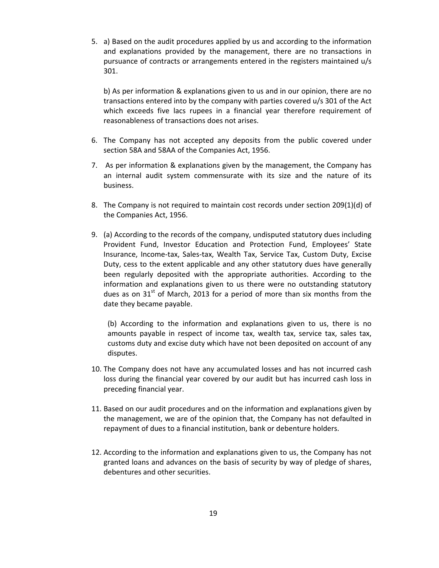5. a) Based on the audit procedures applied by us and according to the information and explanations provided by the management, there are no transactions in pursuance of contracts or arrangements entered in the registers maintained u/s 301.

b) As per information & explanations given to us and in our opinion, there are no transactions entered into by the company with parties covered u/s 301 of the Act which exceeds five lacs rupees in a financial year therefore requirement of reasonableness of transactions does not arises.

- 6. The Company has not accepted any deposits from the public covered under section 58A and 58AA of the Companies Act, 1956.
- 7. As per information & explanations given by the management, the Company has an internal audit system commensurate with its size and the nature of its business.
- 8. The Company is not required to maintain cost records under section 209(1)(d) of the Companies Act, 1956.
- 9. (a) According to the records of the company, undisputed statutory dues including Provident Fund, Investor Education and Protection Fund, Employees' State Insurance, Income‐tax, Sales‐tax, Wealth Tax, Service Tax, Custom Duty, Excise Duty, cess to the extent applicable and any other statutory dues have generally been regularly deposited with the appropriate authorities. According to the information and explanations given to us there were no outstanding statutory dues as on  $31<sup>st</sup>$  of March, 2013 for a period of more than six months from the date they became payable.

(b) According to the information and explanations given to us, there is no amounts payable in respect of income tax, wealth tax, service tax, sales tax, customs duty and excise duty which have not been deposited on account of any disputes.

- 10. The Company does not have any accumulated losses and has not incurred cash loss during the financial year covered by our audit but has incurred cash loss in preceding financial year.
- 11. Based on our audit procedures and on the information and explanations given by the management, we are of the opinion that, the Company has not defaulted in repayment of dues to a financial institution, bank or debenture holders.
- 12. According to the information and explanations given to us, the Company has not granted loans and advances on the basis of security by way of pledge of shares, debentures and other securities.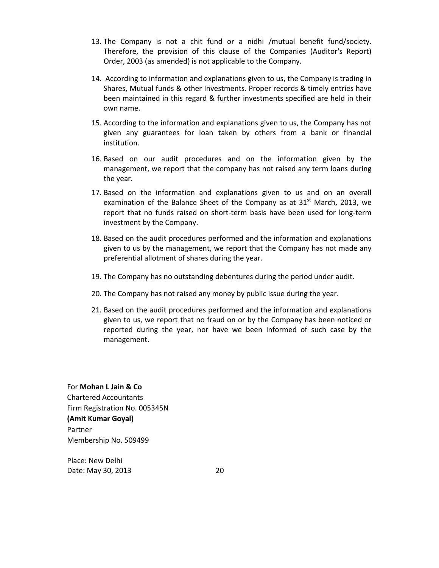- 13. The Company is not a chit fund or a nidhi /mutual benefit fund/society. Therefore, the provision of this clause of the Companies (Auditor's Report) Order, 2003 (as amended) is not applicable to the Company.
- 14. According to information and explanations given to us, the Company is trading in Shares, Mutual funds & other Investments. Proper records & timely entries have been maintained in this regard & further investments specified are held in their own name.
- 15. According to the information and explanations given to us, the Company has not given any guarantees for loan taken by others from a bank or financial institution.
- 16. Based on our audit procedures and on the information given by the management, we report that the company has not raised any term loans during the year.
- 17. Based on the information and explanations given to us and on an overall examination of the Balance Sheet of the Company as at  $31<sup>st</sup>$  March, 2013, we report that no funds raised on short-term basis have been used for long-term investment by the Company.
- 18. Based on the audit procedures performed and the information and explanations given to us by the management, we report that the Company has not made any preferential allotment of shares during the year.
- 19. The Company has no outstanding debentures during the period under audit.
- 20. The Company has not raised any money by public issue during the year.
- 21. Based on the audit procedures performed and the information and explanations given to us, we report that no fraud on or by the Company has been noticed or reported during the year, nor have we been informed of such case by the management.

#### For **Mohan L Jain & Co**

Chartered Accountants Firm Registration No. 005345N **(Amit Kumar Goyal)** Partner Membership No. 509499

Place: New Delhi Date: May 30, 2013 20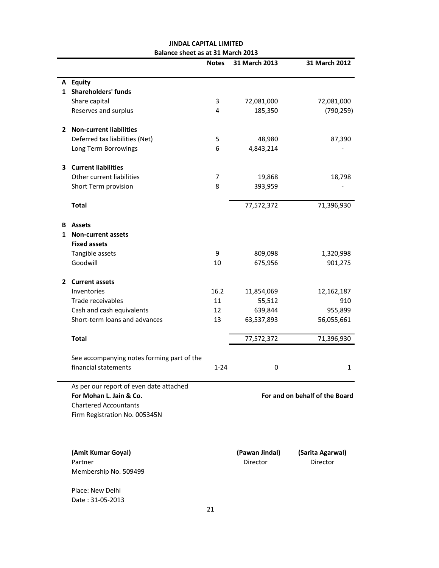|   |                                            | <b>Notes</b> | 31 March 2013  | 31 March 2012                  |
|---|--------------------------------------------|--------------|----------------|--------------------------------|
|   | A Equity                                   |              |                |                                |
|   | 1 Shareholders' funds                      |              |                |                                |
|   | Share capital                              | 3            | 72,081,000     | 72,081,000                     |
|   | Reserves and surplus                       | 4            | 185,350        | (790, 259)                     |
|   | 2 Non-current liabilities                  |              |                |                                |
|   | Deferred tax liabilities (Net)             | 5            | 48,980         | 87,390                         |
|   | Long Term Borrowings                       | 6            | 4,843,214      |                                |
|   |                                            |              |                |                                |
|   | 3 Current liabilities                      |              |                |                                |
|   | Other current liabilities                  | 7            | 19,868         | 18,798                         |
|   | Short Term provision                       | 8            | 393,959        |                                |
|   | <b>Total</b>                               |              | 77,572,372     | 71,396,930                     |
|   |                                            |              |                |                                |
|   | <b>B</b> Assets                            |              |                |                                |
| 1 | <b>Non-current assets</b>                  |              |                |                                |
|   | <b>Fixed assets</b>                        |              |                |                                |
|   | Tangible assets                            | 9            | 809,098        | 1,320,998                      |
|   | Goodwill                                   | 10           | 675,956        | 901,275                        |
|   | 2 Current assets                           |              |                |                                |
|   | Inventories                                | 16.2         | 11,854,069     | 12,162,187                     |
|   | Trade receivables                          | 11           | 55,512         | 910                            |
|   | Cash and cash equivalents                  | 12           | 639,844        | 955,899                        |
|   | Short-term loans and advances              | 13           | 63,537,893     | 56,055,661                     |
|   | <b>Total</b>                               |              | 77,572,372     | 71,396,930                     |
|   |                                            |              |                |                                |
|   | See accompanying notes forming part of the |              |                |                                |
|   | financial statements                       | $1 - 24$     | 0              | 1                              |
|   | As per our report of even date attached    |              |                |                                |
|   | For Mohan L. Jain & Co.                    |              |                | For and on behalf of the Board |
|   | <b>Chartered Accountants</b>               |              |                |                                |
|   | Firm Registration No. 005345N              |              |                |                                |
|   |                                            |              |                |                                |
|   | (Amit Kumar Goyal)                         |              | (Pawan Jindal) | (Sarita Agarwal)               |
|   | Partner                                    |              | Director       | Director                       |
|   | Membership No. 509499                      |              |                |                                |
|   |                                            |              |                |                                |
|   | Place: New Delhi                           |              |                |                                |
|   | Date: 31-05-2013                           |              |                |                                |

#### **JINDAL CAPITAL LIMITED Balance sheet as at 31 March 2013**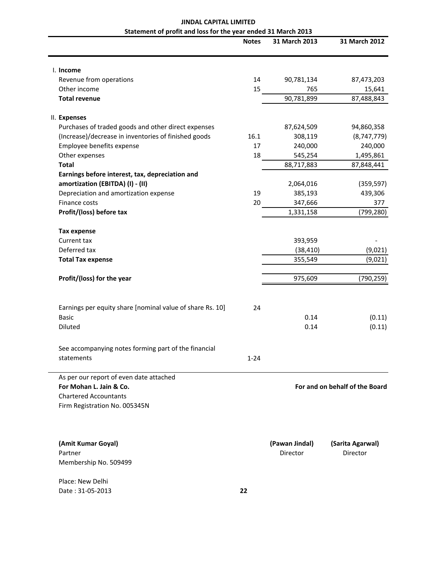#### **JINDAL CAPITAL LIMITED Statement of profit and loss for the year ended 31 March 2013**

|                                                           | <b>Notes</b> | 31 March 2013  | 31 March 2012                  |
|-----------------------------------------------------------|--------------|----------------|--------------------------------|
| I. Income                                                 |              |                |                                |
| Revenue from operations                                   | 14           | 90,781,134     | 87,473,203                     |
| Other income                                              | 15           | 765            | 15,641                         |
| <b>Total revenue</b>                                      |              | 90,781,899     | 87,488,843                     |
| II. Expenses                                              |              |                |                                |
| Purchases of traded goods and other direct expenses       |              | 87,624,509     | 94,860,358                     |
| (Increase)/decrease in inventories of finished goods      | 16.1         | 308,119        | (8,747,779)                    |
| Employee benefits expense                                 | 17           | 240,000        | 240,000                        |
| Other expenses                                            | 18           | 545,254        | 1,495,861                      |
| <b>Total</b>                                              |              | 88,717,883     | 87,848,441                     |
| Earnings before interest, tax, depreciation and           |              |                |                                |
| amortization (EBITDA) (I) - (II)                          |              | 2,064,016      | (359, 597)                     |
| Depreciation and amortization expense                     | 19           | 385,193        | 439,306                        |
| Finance costs                                             | 20           | 347,666        | 377                            |
| Profit/(loss) before tax                                  |              | 1,331,158      | (799, 280)                     |
| <b>Tax expense</b>                                        |              |                |                                |
| Current tax                                               |              | 393,959        |                                |
| Deferred tax                                              |              | (38, 410)      | (9,021)                        |
| <b>Total Tax expense</b>                                  |              | 355,549        | (9,021)                        |
| Profit/(loss) for the year                                |              | 975,609        | (790, 259)                     |
| Earnings per equity share [nominal value of share Rs. 10] | 24           |                |                                |
| <b>Basic</b>                                              |              | 0.14           | (0.11)                         |
| Diluted                                                   |              | 0.14           | (0.11)                         |
| See accompanying notes forming part of the financial      |              |                |                                |
| statements                                                | $1 - 24$     |                |                                |
| As per our report of even date attached                   |              |                |                                |
| For Mohan L. Jain & Co.                                   |              |                | For and on behalf of the Board |
| <b>Chartered Accountants</b>                              |              |                |                                |
| Firm Registration No. 005345N                             |              |                |                                |
| (Amit Kumar Goyal)                                        |              | (Pawan Jindal) | (Sarita Agarwal)               |
| Partner                                                   |              | Director       | Director                       |
| Membership No. 509499                                     |              |                |                                |
| Place: New Delhi                                          |              |                |                                |
| Date: 31-05-2013                                          | 22           |                |                                |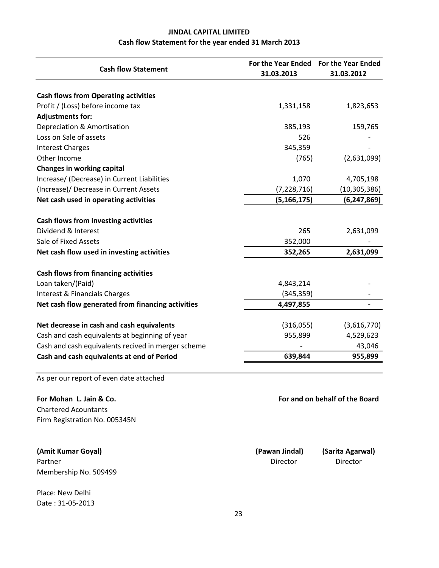## **JINDAL CAPITAL LIMITED Cash flow Statement for the year ended 31 March 2013**

| <b>Cash flow Statement</b>                         | 31.03.2013    |                |
|----------------------------------------------------|---------------|----------------|
|                                                    |               | 31.03.2012     |
|                                                    |               |                |
| <b>Cash flows from Operating activities</b>        |               |                |
| Profit / (Loss) before income tax                  | 1,331,158     | 1,823,653      |
| <b>Adjustments for:</b>                            |               |                |
| Depreciation & Amortisation                        | 385,193       | 159,765        |
| Loss on Sale of assets                             | 526           |                |
| <b>Interest Charges</b>                            | 345,359       |                |
| Other Income                                       | (765)         | (2,631,099)    |
| <b>Changes in working capital</b>                  |               |                |
| Increase/ (Decrease) in Current Liabilities        | 1,070         | 4,705,198      |
| (Increase)/ Decrease in Current Assets             | (7, 228, 716) | (10, 305, 386) |
| Net cash used in operating activities              | (5, 166, 175) | (6, 247, 869)  |
| Cash flows from investing activities               |               |                |
| Dividend & Interest                                | 265           | 2,631,099      |
| Sale of Fixed Assets                               | 352,000       |                |
| Net cash flow used in investing activities         | 352,265       | 2,631,099      |
| <b>Cash flows from financing activities</b>        |               |                |
| Loan taken/(Paid)                                  | 4,843,214     |                |
| Interest & Financials Charges                      | (345, 359)    |                |
| Net cash flow generated from financing activities  | 4,497,855     |                |
|                                                    |               |                |
| Net decrease in cash and cash equivalents          | (316,055)     | (3,616,770)    |
| Cash and cash equivalents at beginning of year     | 955,899       | 4,529,623      |
| Cash and cash equivalents recived in merger scheme |               | 43,046         |
| Cash and cash equivalents at end of Period         | 639,844       | 955,899        |

As per our report of even date attached

Chartered Acountants Firm Registration No. 005345N

**(Amit Kumar Goyal) (Pawan Jindal) (Sarita Agarwal)** Partner **Director** Director Director **Director** Director **Director** Membership No. 509499

Place: New Delhi Date : 31‐05‐2013

**For Mohan L. Jain & Co. For and on behalf of the Board**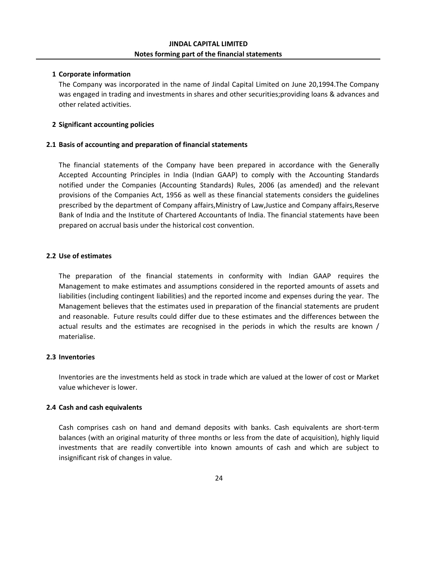#### **1 Corporate information**

The Company was incorporated in the name of Jindal Capital Limited on June 20,1994.The Company was engaged in trading and investments in shares and other securities;providing loans & advances and other related activities.

#### **2 Significant accounting policies**

#### **2.1 Basis of accounting and preparation of financial statements**

The financial statements of the Company have been prepared in accordance with the Generally Accepted Accounting Principles in India (Indian GAAP) to comply with the Accounting Standards notified under the Companies (Accounting Standards) Rules, 2006 (as amended) and the relevant provisions of the Companies Act, 1956 as well as these financial statements considers the guidelines prescribed by the department of Company affairs,Ministry of Law,Justice and Company affairs,Reserve Bank of India and the Institute of Chartered Accountants of India. The financial statements have been prepared on accrual basis under the historical cost convention.

#### **2.2 Use of estimates**

The preparation of the financial statements in conformity with Indian GAAP requires the Management to make estimates and assumptions considered in the reported amounts of assets and liabilities (including contingent liabilities) and the reported income and expenses during the year. The Management believes that the estimates used in preparation of the financial statements are prudent and reasonable. Future results could differ due to these estimates and the differences between the actual results and the estimates are recognised in the periods in which the results are known / materialise.

#### **2.3 Inventories**

Inventories are the investments held as stock in trade which are valued at the lower of cost or Market value whichever is lower.

#### **2.4 Cash and cash equivalents**

Cash comprises cash on hand and demand deposits with banks. Cash equivalents are short‐term balances (with an original maturity of three months or less from the date of acquisition), highly liquid investments that are readily convertible into known amounts of cash and which are subject to insignificant risk of changes in value.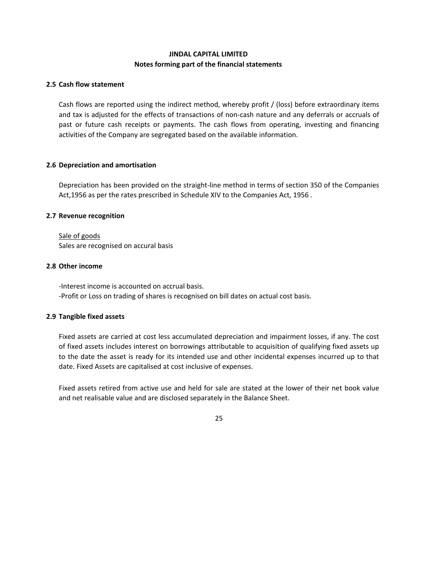#### **JINDAL CAPITAL LIMITED Notes forming part of the financial statements**

#### **2.5 Cash flow statement**

Cash flows are reported using the indirect method, whereby profit / (loss) before extraordinary items and tax is adjusted for the effects of transactions of non‐cash nature and any deferrals or accruals of past or future cash receipts or payments. The cash flows from operating, investing and financing activities of the Company are segregated based on the available information.

#### **2.6 Depreciation and amortisation**

Depreciation has been provided on the straight‐line method in terms of section 350 of the Companies Act,1956 as per the rates prescribed in Schedule XIV to the Companies Act, 1956 .

#### **2.7 Revenue recognition**

#### Sale of goods Sales are recognised on accural basis

#### **2.8 Other income**

‐Interest income is accounted on accrual basis. ‐Profit or Loss on trading of shares is recognised on bill dates on actual cost basis.

#### **2.9 Tangible fixed assets**

Fixed assets are carried at cost less accumulated depreciation and impairment losses, if any. The cost of fixed assets includes interest on borrowings attributable to acquisition of qualifying fixed assets up to the date the asset is ready for its intended use and other incidental expenses incurred up to that date. Fixed Assets are capitalised at cost inclusive of expenses.

Fixed assets retired from active use and held for sale are stated at the lower of their net book value and net realisable value and are disclosed separately in the Balance Sheet.

#### 25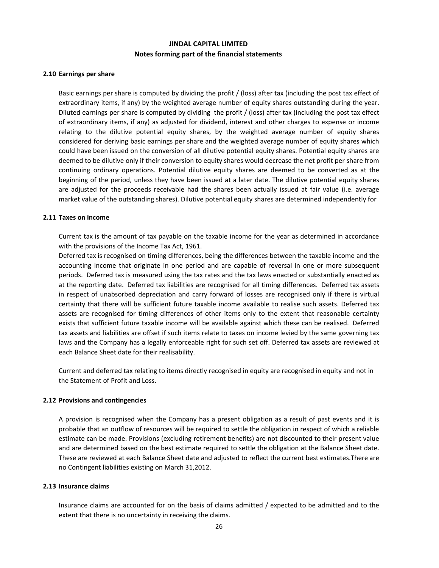#### **Notes forming part of the financial statements JINDAL CAPITAL LIMITED**

#### **2.10 Earnings per share**

Basic earnings per share is computed by dividing the profit / (loss) after tax (including the post tax effect of extraordinary items, if any) by the weighted average number of equity shares outstanding during the year. Diluted earnings per share is computed by dividing the profit / (loss) after tax (including the post tax effect of extraordinary items, if any) as adjusted for dividend, interest and other charges to expense or income relating to the dilutive potential equity shares, by the weighted average number of equity shares considered for deriving basic earnings per share and the weighted average number of equity shares which could have been issued on the conversion of all dilutive potential equity shares. Potential equity shares are deemed to be dilutive only if their conversion to equity shares would decrease the net profit per share from continuing ordinary operations. Potential dilutive equity shares are deemed to be converted as at the beginning of the period, unless they have been issued at a later date. The dilutive potential equity shares are adjusted for the proceeds receivable had the shares been actually issued at fair value (i.e. average market value of the outstanding shares). Dilutive potential equity shares are determined independently for

#### **2.11 Taxes on income**

Current tax is the amount of tax payable on the taxable income for the year as determined in accordance with the provisions of the Income Tax Act, 1961.

Deferred tax is recognised on timing differences, being the differences between the taxable income and the accounting income that originate in one period and are capable of reversal in one or more subsequent periods. Deferred tax is measured using the tax rates and the tax laws enacted or substantially enacted as at the reporting date. Deferred tax liabilities are recognised for all timing differences. Deferred tax assets in respect of unabsorbed depreciation and carry forward of losses are recognised only if there is virtual certainty that there will be sufficient future taxable income available to realise such assets. Deferred tax assets are recognised for timing differences of other items only to the extent that reasonable certainty exists that sufficient future taxable income will be available against which these can be realised. Deferred tax assets and liabilities are offset if such items relate to taxes on income levied by the same governing tax laws and the Company has a legally enforceable right for such set off. Deferred tax assets are reviewed at each Balance Sheet date for their realisability.

Current and deferred tax relating to items directly recognised in equity are recognised in equity and not in the Statement of Profit and Loss.

#### **2.12 Provisions and contingencies**

A provision is recognised when the Company has a present obligation as a result of past events and it is probable that an outflow of resources will be required to settle the obligation in respect of which a reliable estimate can be made. Provisions (excluding retirement benefits) are not discounted to their present value and are determined based on the best estimate required to settle the obligation at the Balance Sheet date. These are reviewed at each Balance Sheet date and adjusted to reflect the current best estimates.There are no Contingent liabilities existing on March 31,2012.

#### **2.13 Insurance claims**

Insurance claims are accounted for on the basis of claims admitted / expected to be admitted and to the extent that there is no uncertainty in receiving the claims.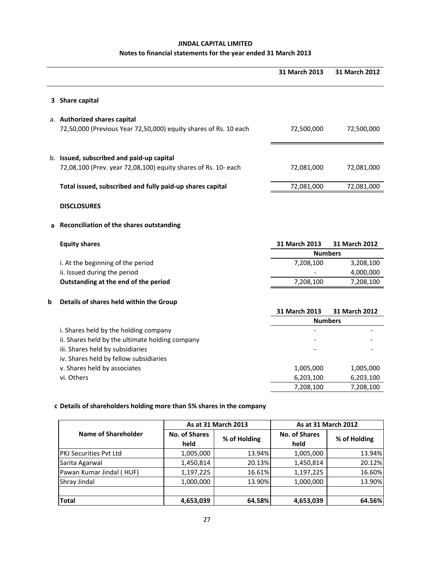#### **JINDAL CAPITAL LIMITED**

#### **Notes to financial statements for the year ended 31 March 2013**

|   |                                                                  | 31 March 2013  | 31 March 2012 |
|---|------------------------------------------------------------------|----------------|---------------|
|   |                                                                  |                |               |
|   |                                                                  |                |               |
|   | 3 Share capital                                                  |                |               |
|   | a. Authorized shares capital                                     |                |               |
|   | 72,50,000 (Previous Year 72,50,000) equity shares of Rs. 10 each | 72,500,000     | 72,500,000    |
|   |                                                                  |                |               |
|   |                                                                  |                |               |
|   | b. Issued, subscribed and paid-up capital                        |                |               |
|   | 72,08,100 (Prev. year 72,08,100) equity shares of Rs. 10- each   | 72,081,000     | 72,081,000    |
|   | Total issued, subscribed and fully paid-up shares capital        | 72,081,000     | 72,081,000    |
|   |                                                                  |                |               |
|   | <b>DISCLOSURES</b>                                               |                |               |
| а | Reconciliation of the shares outstanding                         |                |               |
|   | <b>Equity shares</b>                                             | 31 March 2013  | 31 March 2012 |
|   |                                                                  | <b>Numbers</b> |               |
|   | i. At the beginning of the period                                | 7,208,100      | 3,208,100     |
|   | ii. Issued during the period                                     |                | 4,000,000     |
|   | Outstanding at the end of the period                             | 7,208,100      | 7,208,100     |
| b | Details of shares held within the Group                          |                |               |
|   |                                                                  | 31 March 2013  | 31 March 2012 |
|   |                                                                  | <b>Numbers</b> |               |
|   | i. Shares held by the holding company                            |                |               |
|   | ii. Shares held by the ultimate holding company                  |                |               |
|   | iii. Shares held by subsidiaries                                 |                |               |
|   | iv. Shares held by fellow subsidiaries                           |                |               |
|   | v. Shares held by associates                                     | 1,005,000      | 1,005,000     |
|   | vi. Others                                                       | 6,203,100      | 6,203,100     |
|   |                                                                  | 7,208,100      | 7,208,100     |

#### **c Details of shareholders holding more than 5% shares in the company**

|                               |                              | As at 31 March 2013 | As at 31 March 2012          |              |  |
|-------------------------------|------------------------------|---------------------|------------------------------|--------------|--|
| Name of Shareholder           | <b>No. of Shares</b><br>held | % of Holding        | <b>No. of Shares</b><br>held | % of Holding |  |
| <b>PKJ Securities Pyt Ltd</b> | 1,005,000                    | 13.94%              | 1,005,000                    | 13.94%       |  |
| Sarita Agarwal                | 1,450,814                    | 20.13%              | 1,450,814                    | 20.12%       |  |
| Pawan Kumar Jindal (HUF)      | 1,197,225                    | 16.61%              | 1,197,225                    | 16.60%       |  |
| Shray Jindal                  | 1,000,000                    | 13.90%              | 1,000,000                    | 13.90%       |  |
| <b>Total</b>                  | 4,653,039                    | 64.58%              | 4,653,039                    | 64.56%       |  |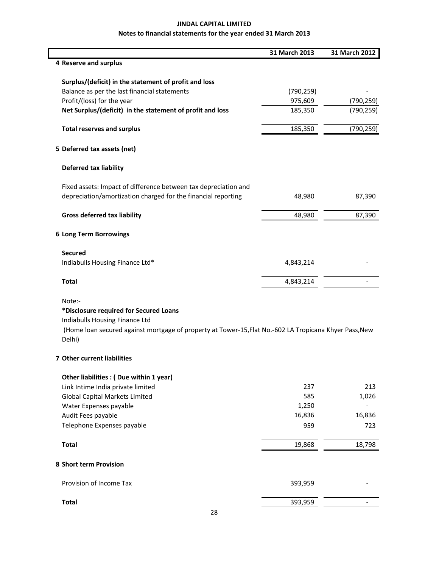|                                                                                                                  | 31 March 2013 | 31 March 2012 |
|------------------------------------------------------------------------------------------------------------------|---------------|---------------|
| 4 Reserve and surplus                                                                                            |               |               |
| Surplus/(deficit) in the statement of profit and loss                                                            |               |               |
| Balance as per the last financial statements                                                                     | (790, 259)    |               |
| Profit/(loss) for the year                                                                                       | 975,609       | (790, 259)    |
| Net Surplus/(deficit) in the statement of profit and loss                                                        | 185,350       | (790, 259)    |
| <b>Total reserves and surplus</b>                                                                                | 185,350       | (790, 259)    |
| 5 Deferred tax assets (net)                                                                                      |               |               |
| <b>Deferred tax liability</b>                                                                                    |               |               |
| Fixed assets: Impact of difference between tax depreciation and                                                  |               |               |
| depreciation/amortization charged for the financial reporting                                                    | 48,980        | 87,390        |
| <b>Gross deferred tax liability</b>                                                                              | 48,980        | 87,390        |
| 6 Long Term Borrowings                                                                                           |               |               |
| <b>Secured</b>                                                                                                   |               |               |
| Indiabulls Housing Finance Ltd*                                                                                  | 4,843,214     |               |
| <b>Total</b>                                                                                                     | 4,843,214     |               |
| Note:-<br>*Disclosure required for Secured Loans                                                                 |               |               |
| Indiabulls Housing Finance Ltd                                                                                   |               |               |
| (Home loan secured against mortgage of property at Tower-15, Flat No.-602 LA Tropicana Khyer Pass, New<br>Delhi) |               |               |
| 7 Other current liabilities                                                                                      |               |               |
| Other liabilities : (Due within 1 year)                                                                          |               |               |
| Link Intime India private limited                                                                                | 237           | 213           |
| <b>Global Capital Markets Limited</b>                                                                            | 585           | 1,026         |
| Water Expenses payable                                                                                           | 1,250         |               |
| Audit Fees payable                                                                                               | 16,836        | 16,836        |
| Telephone Expenses payable                                                                                       | 959           | 723           |
| <b>Total</b>                                                                                                     | 19,868        | 18,798        |
| 8 Short term Provision                                                                                           |               |               |
| Provision of Income Tax                                                                                          | 393,959       |               |
| <b>Total</b>                                                                                                     | 393,959       |               |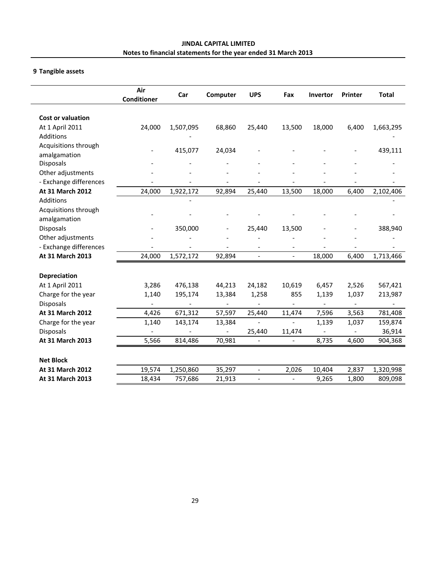#### **9 Tangible assets**

|                          | Air<br>Conditioner | Car       | Computer       | <b>UPS</b>               | Fax                      | <b>Invertor</b> | Printer | <b>Total</b> |
|--------------------------|--------------------|-----------|----------------|--------------------------|--------------------------|-----------------|---------|--------------|
| <b>Cost or valuation</b> |                    |           |                |                          |                          |                 |         |              |
| At 1 April 2011          | 24,000             | 1,507,095 | 68,860         | 25,440                   | 13,500                   | 18,000          | 6,400   | 1,663,295    |
| Additions                |                    |           |                |                          |                          |                 |         |              |
| Acquisitions through     |                    | 415,077   | 24,034         |                          |                          |                 |         | 439,111      |
| amalgamation             |                    |           |                |                          |                          |                 |         |              |
| <b>Disposals</b>         |                    |           |                |                          |                          |                 |         |              |
| Other adjustments        |                    |           |                |                          |                          |                 |         |              |
| - Exchange differences   |                    |           |                |                          |                          |                 |         |              |
| At 31 March 2012         | 24,000             | 1,922,172 | 92,894         | 25,440                   | 13,500                   | 18,000          | 6,400   | 2,102,406    |
| Additions                |                    |           |                |                          |                          |                 |         |              |
| Acquisitions through     |                    |           |                |                          |                          |                 |         |              |
| amalgamation             |                    |           |                |                          |                          |                 |         |              |
| <b>Disposals</b>         |                    | 350,000   |                | 25,440                   | 13,500                   |                 |         | 388,940      |
| Other adjustments        |                    |           |                |                          |                          |                 |         |              |
| - Exchange differences   |                    |           |                |                          |                          |                 |         |              |
| At 31 March 2013         | 24,000             | 1,572,172 | 92,894         | $\overline{\phantom{a}}$ | $\overline{a}$           | 18,000          | 6,400   | 1,713,466    |
| Depreciation             |                    |           |                |                          |                          |                 |         |              |
| At 1 April 2011          | 3,286              | 476,138   | 44,213         | 24,182                   | 10,619                   | 6,457           | 2,526   | 567,421      |
| Charge for the year      | 1,140              | 195,174   | 13,384         | 1,258                    | 855                      | 1,139           | 1,037   | 213,987      |
| <b>Disposals</b>         |                    |           |                |                          |                          |                 |         |              |
| At 31 March 2012         | 4,426              | 671,312   | 57,597         | 25,440                   | 11,474                   | 7,596           | 3,563   | 781,408      |
| Charge for the year      | 1,140              | 143,174   | 13,384         |                          |                          | 1,139           | 1,037   | 159,874      |
| Disposals                |                    |           | $\blacksquare$ | 25,440                   | 11,474                   |                 |         | 36,914       |
| At 31 March 2013         | 5,566              | 814,486   | 70,981         |                          | $\overline{\phantom{a}}$ | 8,735           | 4,600   | 904,368      |
| <b>Net Block</b>         |                    |           |                |                          |                          |                 |         |              |
| At 31 March 2012         | 19,574             | 1,250,860 | 35,297         |                          | 2,026                    | 10,404          | 2,837   | 1,320,998    |
| At 31 March 2013         | 18,434             | 757,686   | 21,913         |                          |                          | 9,265           | 1,800   | 809,098      |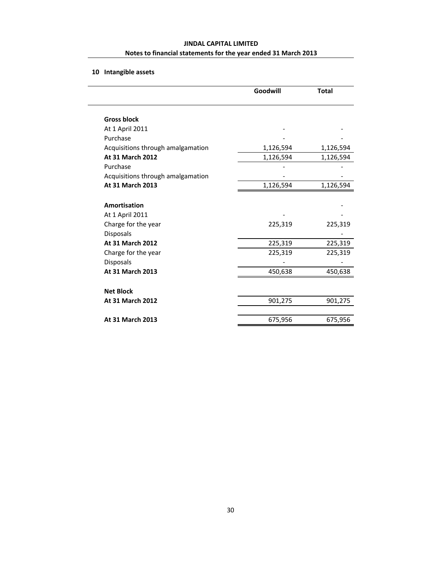## **10 Intangible assets**

|                                   | Goodwill  | <b>Total</b> |
|-----------------------------------|-----------|--------------|
| <b>Gross block</b>                |           |              |
| At 1 April 2011                   |           |              |
| Purchase                          |           |              |
| Acquisitions through amalgamation | 1,126,594 | 1,126,594    |
| At 31 March 2012                  | 1,126,594 | 1,126,594    |
| Purchase                          |           |              |
| Acquisitions through amalgamation |           |              |
| At 31 March 2013                  | 1,126,594 | 1,126,594    |
| Amortisation                      |           |              |
| At 1 April 2011                   |           |              |
| Charge for the year               | 225,319   | 225,319      |
| <b>Disposals</b>                  |           |              |
| At 31 March 2012                  | 225,319   | 225,319      |
| Charge for the year               | 225,319   | 225,319      |
| Disposals                         |           |              |
| At 31 March 2013                  | 450,638   | 450,638      |
| <b>Net Block</b>                  |           |              |
| At 31 March 2012                  | 901,275   | 901,275      |
| <b>At 31 March 2013</b>           | 675,956   | 675,956      |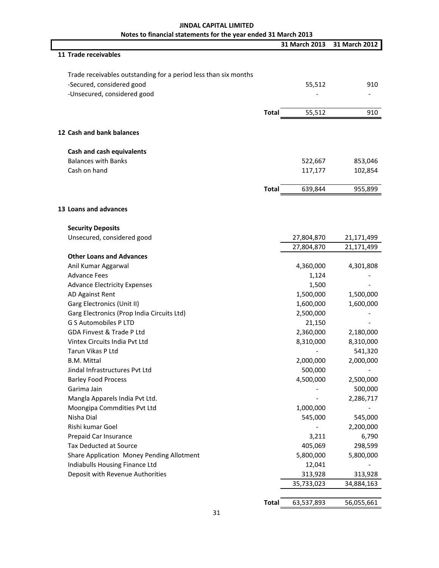|                                                                 |              | 31 March 2013 | 31 March 2012 |
|-----------------------------------------------------------------|--------------|---------------|---------------|
| 11 Trade receivables                                            |              |               |               |
|                                                                 |              |               |               |
| Trade receivables outstanding for a period less than six months |              |               |               |
| -Secured, considered good                                       |              | 55,512        | 910           |
| -Unsecured, considered good                                     |              |               |               |
|                                                                 | <b>Total</b> | 55,512        | 910           |
|                                                                 |              |               |               |
| 12 Cash and bank balances                                       |              |               |               |
| Cash and cash equivalents                                       |              |               |               |
| <b>Balances with Banks</b>                                      |              | 522,667       | 853,046       |
| Cash on hand                                                    |              | 117,177       | 102,854       |
|                                                                 |              |               |               |
|                                                                 | <b>Total</b> | 639,844       | 955,899       |
| 13 Loans and advances                                           |              |               |               |
| <b>Security Deposits</b>                                        |              |               |               |
| Unsecured, considered good                                      |              | 27,804,870    | 21,171,499    |
|                                                                 |              | 27,804,870    | 21,171,499    |
| <b>Other Loans and Advances</b>                                 |              |               |               |
| Anil Kumar Aggarwal                                             |              | 4,360,000     | 4,301,808     |
| <b>Advance Fees</b>                                             |              | 1,124         |               |
| <b>Advance Electricity Expenses</b>                             |              | 1,500         |               |
| AD Against Rent                                                 |              | 1,500,000     | 1,500,000     |
| Garg Electronics (Unit II)                                      |              | 1,600,000     | 1,600,000     |
| Garg Electronics (Prop India Circuits Ltd)                      |              | 2,500,000     |               |
| <b>G S Automobiles P LTD</b>                                    |              | 21,150        |               |
| GDA Finvest & Trade P Ltd                                       |              | 2,360,000     | 2,180,000     |
| Vintex Circuits India Pvt Ltd                                   |              | 8,310,000     | 8,310,000     |
| Tarun Vikas P Ltd                                               |              |               | 541,320       |
| <b>B.M. Mittal</b>                                              |              | 2,000,000     | 2,000,000     |
| Jindal Infrastructures Pvt Ltd                                  |              | 500,000       |               |
| <b>Barley Food Process</b>                                      |              | 4,500,000     | 2,500,000     |
| Garima Jain                                                     |              |               | 500,000       |
| Mangla Apparels India Pvt Ltd.                                  |              |               | 2,286,717     |
| Moongipa Commdities Pvt Ltd                                     |              | 1,000,000     |               |
| Nisha Dial                                                      |              | 545,000       | 545,000       |
| Rishi kumar Goel                                                |              |               | 2,200,000     |
| Prepaid Car Insurance                                           |              | 3,211         | 6,790         |
| <b>Tax Deducted at Source</b>                                   |              | 405,069       | 298,599       |
| Share Application Money Pending Allotment                       |              | 5,800,000     | 5,800,000     |
| Indiabulls Housing Finance Ltd                                  |              | 12,041        |               |
| Deposit with Revenue Authorities                                |              | 313,928       | 313,928       |
|                                                                 |              | 35,733,023    | 34,884,163    |
|                                                                 |              |               |               |
|                                                                 | <b>Total</b> | 63,537,893    | 56,055,661    |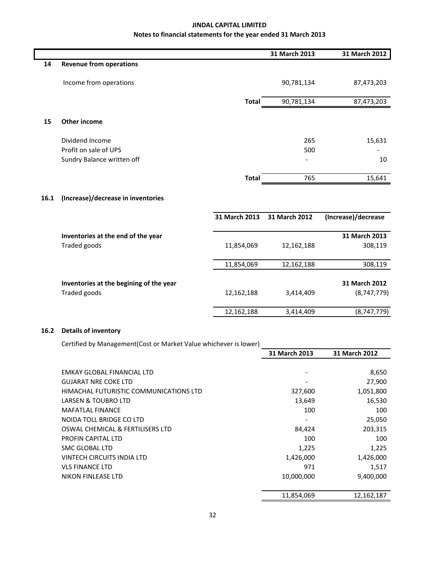|      |                                         |               | 31 March 2013 | 31 March 2012       |
|------|-----------------------------------------|---------------|---------------|---------------------|
| 14   | <b>Revenue from operations</b>          |               |               |                     |
|      | Income from operations                  |               | 90,781,134    | 87,473,203          |
|      |                                         | <b>Total</b>  | 90,781,134    | 87,473,203          |
| 15   | <b>Other income</b>                     |               |               |                     |
|      | Dividend Income                         |               | 265           | 15,631              |
|      | Profit on sale of UPS                   |               | 500           |                     |
|      | Sundry Balance written off              |               |               | 10                  |
|      |                                         | <b>Total</b>  | 765           | 15,641              |
| 16.1 | (Increase)/decrease in inventories      |               |               |                     |
|      |                                         | 31 March 2013 | 31 March 2012 | (Increase)/decrease |
|      | Inventories at the end of the year      |               |               | 31 March 2013       |
|      | Traded goods                            | 11,854,069    | 12,162,188    | 308,119             |
|      |                                         | 11,854,069    | 12,162,188    | 308,119             |
|      | Inventories at the begining of the year |               |               | 31 March 2012       |
|      | Traded goods                            | 12,162,188    | 3,414,409     | (8,747,779)         |
|      |                                         | 12,162,188    | 3,414,409     | (8,747,779)         |

#### **16.2 Details of inventory**

Certified by Management(Cost or Market Value whichever is lower)

|                                        | 31 March 2013 | 31 March 2012 |
|----------------------------------------|---------------|---------------|
|                                        |               |               |
| EMKAY GLOBAL FINANCIAL LTD             |               | 8,650         |
| <b>GUJARAT NRE COKE LTD</b>            |               | 27,900        |
| HIMACHAL FUTURISTIC COMMUNICATIONS LTD | 327,600       | 1,051,800     |
| LARSEN & TOUBRO LTD                    | 13,649        | 16,530        |
| <b>MAFATLAL FINANCE</b>                | 100           | 100           |
| NOIDA TOLL BRIDGE CO LTD               |               | 25,050        |
| OSWAL CHEMICAL & FERTILISERS LTD       | 84,424        | 203,315       |
| PROFIN CAPITAL LTD                     | 100           | 100           |
| SMC GLOBAL LTD                         | 1,225         | 1,225         |
| <b>VINTECH CIRCUITS INDIA LTD</b>      | 1,426,000     | 1,426,000     |
| <b>VLS FINANCE LTD</b>                 | 971           | 1,517         |
| NIKON FINLEASE LTD                     | 10,000,000    | 9,400,000     |
|                                        |               |               |
|                                        | 11,854,069    | 12, 162, 187  |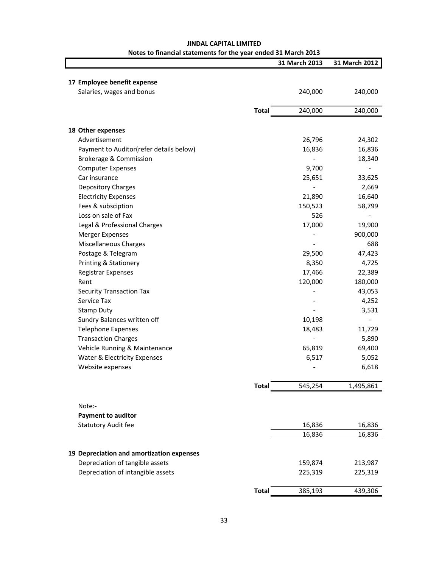|                                           |              | 31 March 2013 | 31 March 2012 |
|-------------------------------------------|--------------|---------------|---------------|
|                                           |              |               |               |
| 17 Employee benefit expense               |              |               |               |
| Salaries, wages and bonus                 |              | 240,000       | 240,000       |
|                                           | <b>Total</b> | 240,000       | 240,000       |
|                                           |              |               |               |
| 18 Other expenses                         |              |               |               |
| Advertisement                             |              | 26,796        | 24,302        |
| Payment to Auditor(refer details below)   |              | 16,836        | 16,836        |
| Brokerage & Commission                    |              |               | 18,340        |
| <b>Computer Expenses</b>                  |              | 9,700         |               |
| Car insurance                             |              | 25,651        | 33,625        |
| <b>Depository Charges</b>                 |              |               | 2,669         |
| <b>Electricity Expenses</b>               |              | 21,890        | 16,640        |
| Fees & subsciption                        |              | 150,523       | 58,799        |
| Loss on sale of Fax                       |              | 526           |               |
| Legal & Professional Charges              |              | 17,000        | 19,900        |
| <b>Merger Expenses</b>                    |              |               | 900,000       |
| <b>Miscellaneous Charges</b>              |              |               | 688           |
| Postage & Telegram                        |              | 29,500        | 47,423        |
| Printing & Stationery                     |              | 8,350         | 4,725         |
| <b>Registrar Expenses</b>                 |              | 17,466        | 22,389        |
| Rent                                      |              | 120,000       | 180,000       |
| <b>Security Transaction Tax</b>           |              |               | 43,053        |
| Service Tax                               |              |               | 4,252         |
| <b>Stamp Duty</b>                         |              |               | 3,531         |
| Sundry Balances written off               |              | 10,198        |               |
| <b>Telephone Expenses</b>                 |              | 18,483        | 11,729        |
| <b>Transaction Charges</b>                |              |               | 5,890         |
| Vehicle Running & Maintenance             |              | 65,819        | 69,400        |
| Water & Electricity Expenses              |              | 6,517         | 5,052         |
| Website expenses                          |              |               | 6,618         |
|                                           | <b>Total</b> | 545,254       | 1,495,861     |
|                                           |              |               |               |
| Note:-                                    |              |               |               |
| <b>Payment to auditor</b>                 |              |               |               |
| <b>Statutory Audit fee</b>                |              | 16,836        | 16,836        |
|                                           |              | 16,836        | 16,836        |
| 19 Depreciation and amortization expenses |              |               |               |
| Depreciation of tangible assets           |              | 159,874       | 213,987       |
| Depreciation of intangible assets         |              | 225,319       | 225,319       |
|                                           | <b>Total</b> | 385,193       | 439,306       |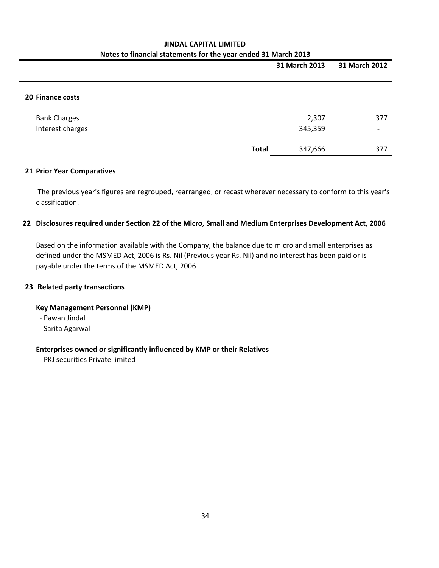|                                         |              | 31 March 2013    | 31 March 2012                   |
|-----------------------------------------|--------------|------------------|---------------------------------|
| 20 Finance costs                        |              |                  |                                 |
| <b>Bank Charges</b><br>Interest charges |              | 2,307<br>345,359 | 377<br>$\overline{\phantom{0}}$ |
|                                         | <b>Total</b> | 347,666          | 377                             |

#### **21 Prior Year Comparatives**

The previous year's figures are regrouped, rearranged, or recast wherever necessary to conform to this year's classification.

#### **22 Disclosures required under Section 22 of the Micro, Small and Medium Enterprises Development Act, 2006**

Based on the information available with the Company, the balance due to micro and small enterprises as defined under the MSMED Act, 2006 is Rs. Nil (Previous year Rs. Nil) and no interest has been paid or is payable under the terms of the MSMED Act, 2006

#### **23 Related party transactions**

#### **Key Management Personnel (KMP)**

‐ Pawan Jindal

‐ Sarita Agarwal

#### **Enterprises owned or significantly influenced by KMP or their Relatives**

‐PKJ securities Private limited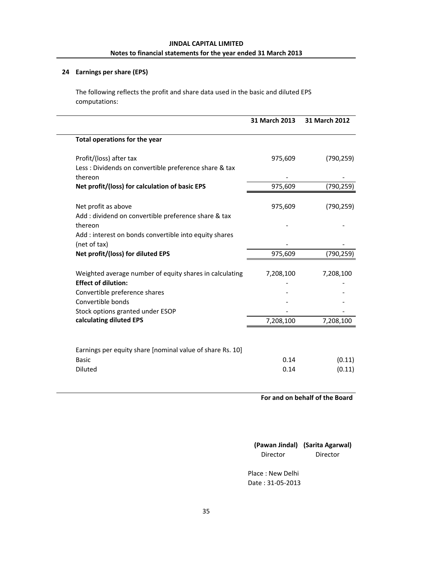#### **24 Earnings per share (EPS)**

The following reflects the profit and share data used in the basic and diluted EPS computations:

|                                                                                                                   | 31 March 2013 | 31 March 2012 |
|-------------------------------------------------------------------------------------------------------------------|---------------|---------------|
| Total operations for the year                                                                                     |               |               |
| Profit/(loss) after tax                                                                                           | 975,609       | (790, 259)    |
| Less : Dividends on convertible preference share & tax                                                            |               |               |
| thereon                                                                                                           |               |               |
| Net profit/(loss) for calculation of basic EPS                                                                    | 975,609       | (790, 259)    |
| Net profit as above                                                                                               | 975,609       | (790, 259)    |
| Add: dividend on convertible preference share & tax                                                               |               |               |
| thereon                                                                                                           |               |               |
| Add: interest on bonds convertible into equity shares                                                             |               |               |
| (net of tax)                                                                                                      |               |               |
| Net profit/(loss) for diluted EPS                                                                                 | 975,609       | (790, 259)    |
| Weighted average number of equity shares in calculating                                                           | 7,208,100     | 7,208,100     |
| <b>Effect of dilution:</b>                                                                                        |               |               |
|                                                                                                                   |               |               |
|                                                                                                                   |               |               |
|                                                                                                                   |               |               |
|                                                                                                                   | 7,208,100     | 7,208,100     |
| Convertible preference shares<br>Convertible bonds<br>Stock options granted under ESOP<br>calculating diluted EPS |               |               |
| Earnings per equity share [nominal value of share Rs. 10]                                                         |               |               |
| <b>Basic</b>                                                                                                      | 0.14          | (0.11)        |
| <b>Diluted</b>                                                                                                    | 0.14          | (0.11)        |

**For and on behalf of the Board**

**(Pawan Jindal) (Sarita Agarwal)** Director Director

Place : New Delhi Date : 31‐05‐2013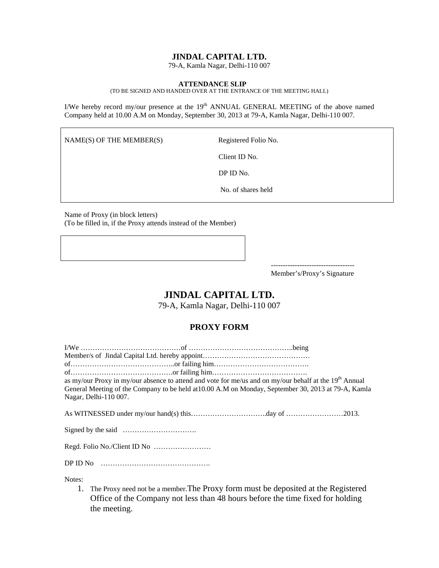#### **JINDAL CAPITAL LTD.**

79-A, Kamla Nagar, Delhi-110 007

#### **ATTENDANCE SLIP**

(TO BE SIGNED AND HANDED OVER AT THE ENTRANCE OF THE MEETING HALL)

I/We hereby record my/our presence at the  $19<sup>th</sup>$  ANNUAL GENERAL MEETING of the above named Company held at 10.00 A.M on Monday, September 30, 2013 at 79-A, Kamla Nagar, Delhi-110 007.

 $NAME(S)$  OF THE MEMBER(S) Registered Folio No.

Notes:

Client ID No.

DP ID No.

No. of shares held

Name of Proxy (in block letters) (To be filled in, if the Proxy attends instead of the Member)

Member's/Proxy's Signature

## **JINDAL CAPITAL LTD.**

79-A, Kamla Nagar, Delhi-110 007

#### **PROXY FORM**

|                       | as my/our Proxy in my/our absence to attend and vote for me/us and on my/our behalf at the 19 <sup>th</sup> Annual |  |
|-----------------------|--------------------------------------------------------------------------------------------------------------------|--|
|                       | General Meeting of the Company to be held at 10.00 A.M on Monday, September 30, 2013 at 79-A, Kamla                |  |
| Nagar, Delhi-110 007. |                                                                                                                    |  |
|                       |                                                                                                                    |  |
|                       |                                                                                                                    |  |
|                       |                                                                                                                    |  |
|                       |                                                                                                                    |  |
|                       |                                                                                                                    |  |

1. The Proxy need not be a member.The Proxy form must be deposited at the Registered Office of the Company not less than 48 hours before the time fixed for holding the meeting.